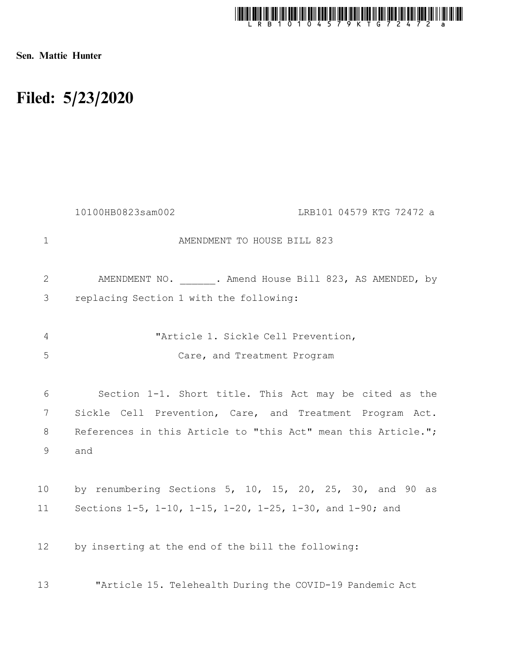

Sen. Mattie Hunter

## Filed: 5/23/2020

|                | 10100HB0823sam002<br>LRB101 04579 KTG 72472 a                 |
|----------------|---------------------------------------------------------------|
| 1              | AMENDMENT TO HOUSE BILL 823                                   |
| $\mathbf{2}$   | AMENDMENT NO. . Amend House Bill 823, AS AMENDED, by          |
| 3              | replacing Section 1 with the following:                       |
| $\overline{4}$ | "Article 1. Sickle Cell Prevention,                           |
| 5              | Care, and Treatment Program                                   |
|                |                                                               |
| 6              | Section 1-1. Short title. This Act may be cited as the        |
| 7              | Sickle Cell Prevention, Care, and Treatment Program Act.      |
| 8              | References in this Article to "this Act" mean this Article."; |
| 9              | and                                                           |
|                |                                                               |
| 10             | by renumbering Sections 5, 10, 15, 20, 25, 30, and 90 as      |
| 11             | Sections 1-5, 1-10, 1-15, 1-20, 1-25, 1-30, and 1-90; and     |
|                |                                                               |
| 12             | by inserting at the end of the bill the following:            |
| 13             | "Article 15. Telehealth During the COVID-19 Pandemic Act      |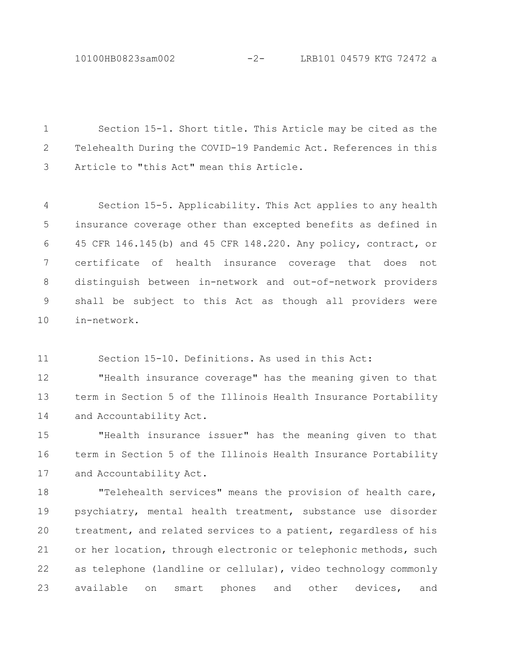10100HB0823sam002 -2- LRB101 04579 KTG 72472 a

Section 15-1. Short title. This Article may be cited as the Telehealth During the COVID-19 Pandemic Act. References in this Article to "this Act" mean this Article. 1 2 3

Section 15-5. Applicability. This Act applies to any health insurance coverage other than excepted benefits as defined in 45 CFR 146.145(b) and 45 CFR 148.220. Any policy, contract, or certificate of health insurance coverage that does not distinguish between in-network and out-of-network providers shall be subject to this Act as though all providers were in-network. 4 5 6 7 8 9 10

Section 15-10. Definitions. As used in this Act: 11

"Health insurance coverage" has the meaning given to that term in Section 5 of the Illinois Health Insurance Portability and Accountability Act. 12 13 14

"Health insurance issuer" has the meaning given to that term in Section 5 of the Illinois Health Insurance Portability and Accountability Act. 15 16 17

"Telehealth services" means the provision of health care, psychiatry, mental health treatment, substance use disorder treatment, and related services to a patient, regardless of his or her location, through electronic or telephonic methods, such as telephone (landline or cellular), video technology commonly available on smart phones and other devices, and 18 19 20 21 22 23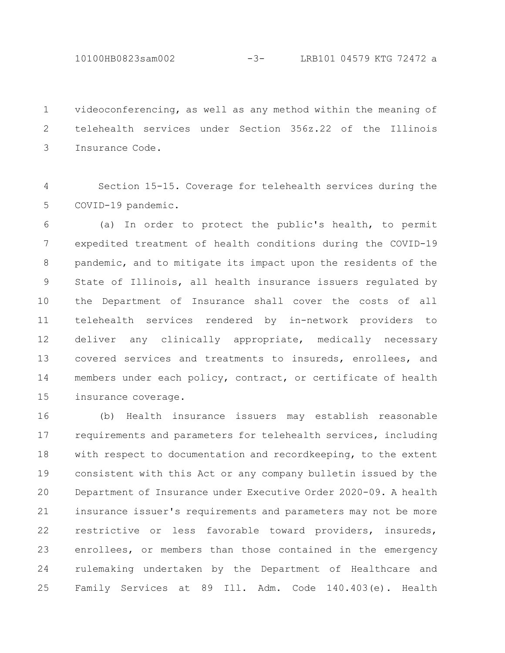10100HB0823sam002 -3- LRB101 04579 KTG 72472 a

videoconferencing, as well as any method within the meaning of telehealth services under Section 356z.22 of the Illinois Insurance Code. 1 2 3

Section 15-15. Coverage for telehealth services during the COVID-19 pandemic. 4 5

(a) In order to protect the public's health, to permit expedited treatment of health conditions during the COVID-19 pandemic, and to mitigate its impact upon the residents of the State of Illinois, all health insurance issuers regulated by the Department of Insurance shall cover the costs of all telehealth services rendered by in-network providers to deliver any clinically appropriate, medically necessary covered services and treatments to insureds, enrollees, and members under each policy, contract, or certificate of health insurance coverage. 6 7 8 9 10 11 12 13 14 15

(b) Health insurance issuers may establish reasonable requirements and parameters for telehealth services, including with respect to documentation and recordkeeping, to the extent consistent with this Act or any company bulletin issued by the Department of Insurance under Executive Order 2020-09. A health insurance issuer's requirements and parameters may not be more restrictive or less favorable toward providers, insureds, enrollees, or members than those contained in the emergency rulemaking undertaken by the Department of Healthcare and Family Services at 89 Ill. Adm. Code 140.403(e). Health 16 17 18 19 20 21 22 23 24 25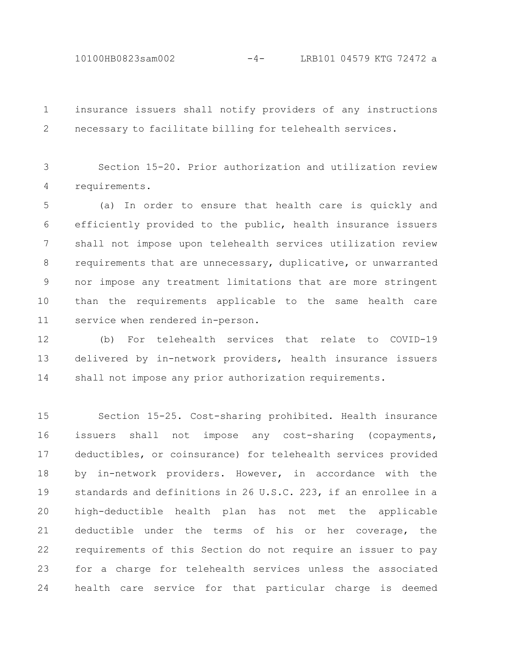10100HB0823sam002 -4- LRB101 04579 KTG 72472 a

insurance issuers shall notify providers of any instructions necessary to facilitate billing for telehealth services. 1 2

Section 15-20. Prior authorization and utilization review requirements. 3 4

(a) In order to ensure that health care is quickly and efficiently provided to the public, health insurance issuers shall not impose upon telehealth services utilization review requirements that are unnecessary, duplicative, or unwarranted nor impose any treatment limitations that are more stringent than the requirements applicable to the same health care service when rendered in-person. 5 6 7 8 9 10 11

(b) For telehealth services that relate to COVID-19 delivered by in-network providers, health insurance issuers shall not impose any prior authorization requirements. 12 13 14

Section 15-25. Cost-sharing prohibited. Health insurance issuers shall not impose any cost-sharing (copayments, deductibles, or coinsurance) for telehealth services provided by in-network providers. However, in accordance with the standards and definitions in 26 U.S.C. 223, if an enrollee in a high-deductible health plan has not met the applicable deductible under the terms of his or her coverage, the requirements of this Section do not require an issuer to pay for a charge for telehealth services unless the associated health care service for that particular charge is deemed 15 16 17 18 19 20 21 22 23 24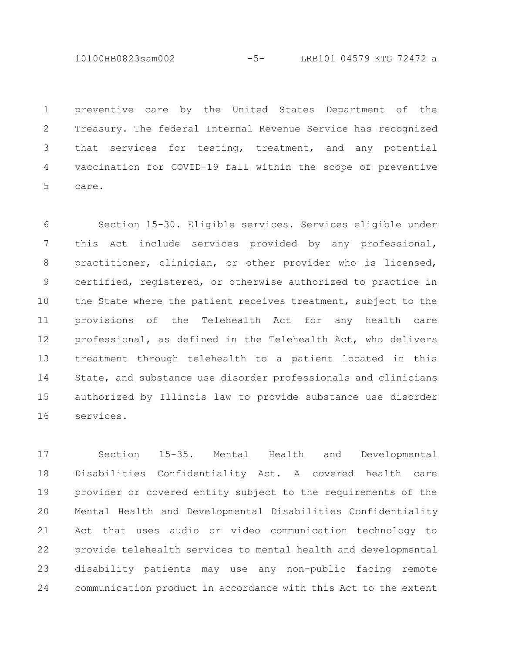10100HB0823sam002 -5- LRB101 04579 KTG 72472 a

preventive care by the United States Department of the Treasury. The federal Internal Revenue Service has recognized that services for testing, treatment, and any potential vaccination for COVID-19 fall within the scope of preventive care. 1 2 3 4 5

Section 15-30. Eligible services. Services eligible under this Act include services provided by any professional, practitioner, clinician, or other provider who is licensed, certified, registered, or otherwise authorized to practice in the State where the patient receives treatment, subject to the provisions of the Telehealth Act for any health care professional, as defined in the Telehealth Act, who delivers treatment through telehealth to a patient located in this State, and substance use disorder professionals and clinicians authorized by Illinois law to provide substance use disorder services. 6 7 8 9 10 11 12 13 14 15 16

Section 15-35. Mental Health and Developmental Disabilities Confidentiality Act. A covered health care provider or covered entity subject to the requirements of the Mental Health and Developmental Disabilities Confidentiality Act that uses audio or video communication technology to provide telehealth services to mental health and developmental disability patients may use any non-public facing remote communication product in accordance with this Act to the extent 17 18 19 20 21 22 23 24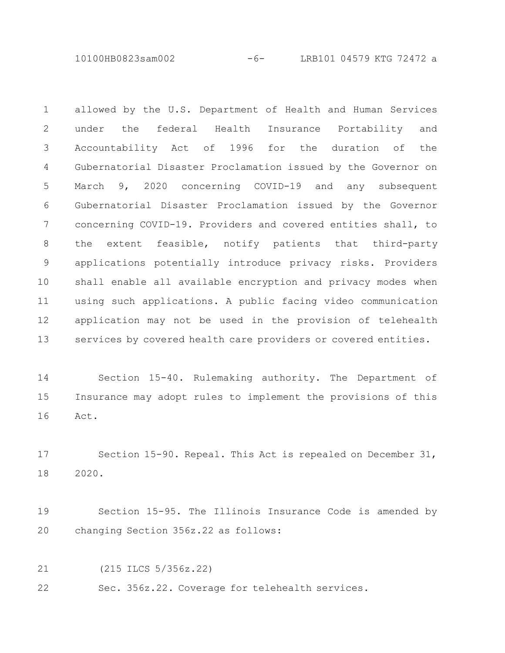10100HB0823sam002 -6- LRB101 04579 KTG 72472 a

allowed by the U.S. Department of Health and Human Services under the federal Health Insurance Portability and Accountability Act of 1996 for the duration of the Gubernatorial Disaster Proclamation issued by the Governor on March 9, 2020 concerning COVID-19 and any subsequent Gubernatorial Disaster Proclamation issued by the Governor concerning COVID-19. Providers and covered entities shall, to the extent feasible, notify patients that third-party applications potentially introduce privacy risks. Providers shall enable all available encryption and privacy modes when using such applications. A public facing video communication application may not be used in the provision of telehealth services by covered health care providers or covered entities. 1 2 3 4 5 6 7 8 9 10 11 12 13

Section 15-40. Rulemaking authority. The Department of Insurance may adopt rules to implement the provisions of this Act. 14 15 16

Section 15-90. Repeal. This Act is repealed on December 31, 2020. 17 18

Section 15-95. The Illinois Insurance Code is amended by changing Section 356z.22 as follows: 19 20

(215 ILCS 5/356z.22) 21

Sec. 356z.22. Coverage for telehealth services. 22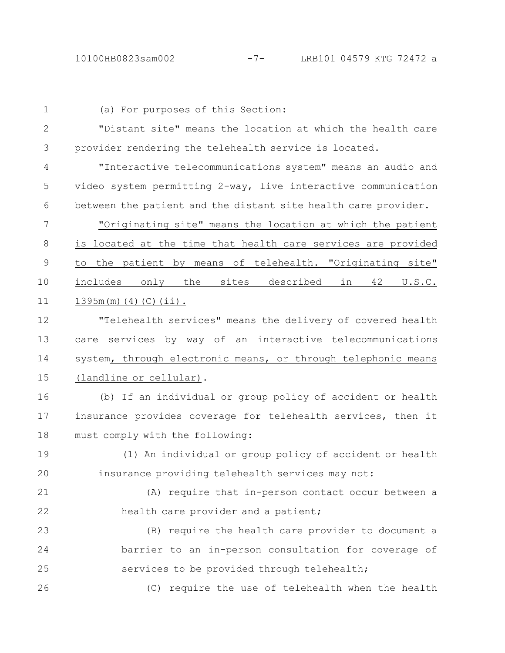(a) For purposes of this Section: "Distant site" means the location at which the health care provider rendering the telehealth service is located. "Interactive telecommunications system" means an audio and video system permitting 2-way, live interactive communication between the patient and the distant site health care provider. "Originating site" means the location at which the patient is located at the time that health care services are provided to the patient by means of telehealth. "Originating site" includes only the sites described in 42 U.S.C. 1395m(m)(4)(C)(ii). "Telehealth services" means the delivery of covered health care services by way of an interactive telecommunications system, through electronic means, or through telephonic means (landline or cellular). (b) If an individual or group policy of accident or health insurance provides coverage for telehealth services, then it must comply with the following: (1) An individual or group policy of accident or health insurance providing telehealth services may not: (A) require that in-person contact occur between a health care provider and a patient; (B) require the health care provider to document a barrier to an in-person consultation for coverage of services to be provided through telehealth; (C) require the use of telehealth when the health 1 2 3 4 5 6 7 8 9 10 11 12 13 14 15 16 17 18 19 20 21 22 23 24 25 26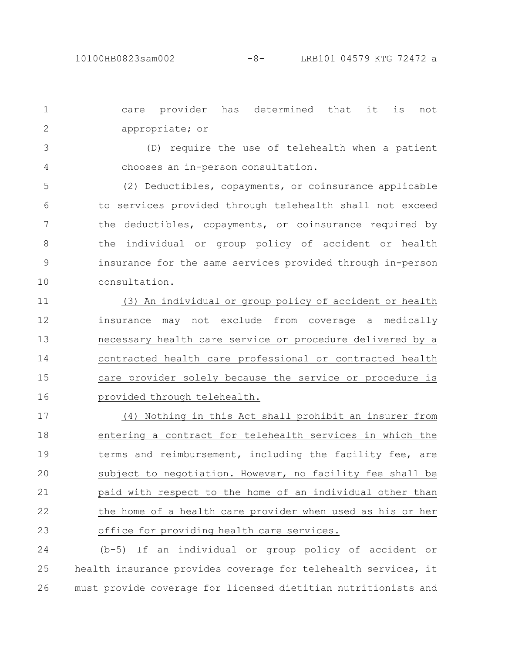care provider has determined that it is not appropriate; or 1 2

(D) require the use of telehealth when a patient chooses an in-person consultation. 3 4

(2) Deductibles, copayments, or coinsurance applicable to services provided through telehealth shall not exceed the deductibles, copayments, or coinsurance required by the individual or group policy of accident or health insurance for the same services provided through in-person consultation. 5 6 7 8 9 10

(3) An individual or group policy of accident or health insurance may not exclude from coverage a medically necessary health care service or procedure delivered by a contracted health care professional or contracted health care provider solely because the service or procedure is provided through telehealth. 11 12 13 14 15 16

(4) Nothing in this Act shall prohibit an insurer from entering a contract for telehealth services in which the terms and reimbursement, including the facility fee, are subject to negotiation. However, no facility fee shall be paid with respect to the home of an individual other than the home of a health care provider when used as his or her office for providing health care services. 17 18 19 20 21 22 23

(b-5) If an individual or group policy of accident or health insurance provides coverage for telehealth services, it must provide coverage for licensed dietitian nutritionists and 24 25 26